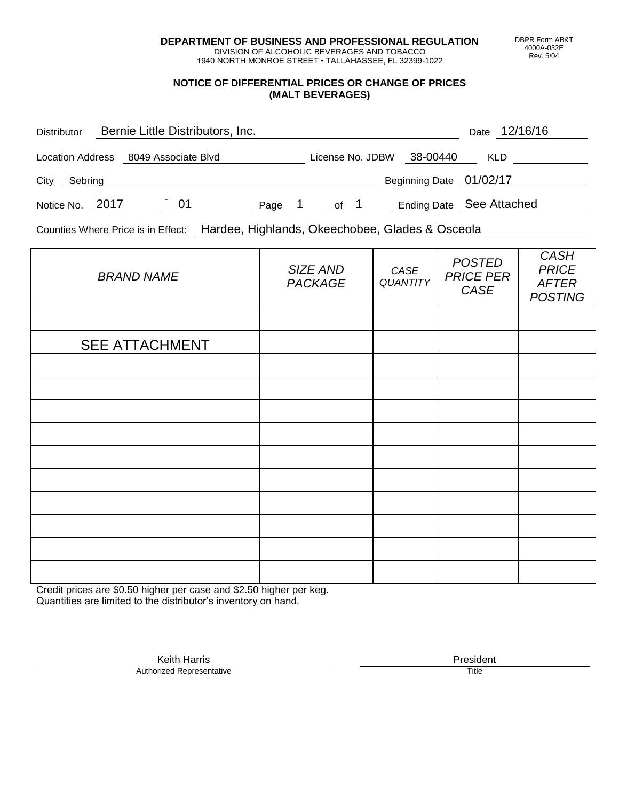**DEPARTMENT OF BUSINESS AND PROFESSIONAL REGULATION** DIVISION OF ALCOHOLIC BEVERAGES AND TOBACCO

1940 NORTH MONROE STREET • TALLAHASSEE, FL 32399-1022

## **NOTICE OF DIFFERENTIAL PRICES OR CHANGE OF PRICES (MALT BEVERAGES)**

| <b>Distributor</b> |                                      | Bernie Little Distributors, Inc. |        |                  |                         | Date 12/16/16            |
|--------------------|--------------------------------------|----------------------------------|--------|------------------|-------------------------|--------------------------|
|                    | Location Address 8049 Associate Blvd |                                  |        | License No. JDBW | 38-00440                | <b>KLD</b>               |
| City<br>Sebring    |                                      |                                  |        |                  | Beginning Date 01/02/17 |                          |
| Notice No. 2017    |                                      | 01                               | Page 1 | of 1             |                         | Ending Date See Attached |

Counties Where Price is in Effect: Hardee, Highlands, Okeechobee, Glades & Osceola

| <b>BRAND NAME</b>     | SIZE AND<br><b>PACKAGE</b> | CASE<br><b>QUANTITY</b> | <b>POSTED</b><br><b>PRICE PER</b><br>CASE | <b>CASH</b><br><b>PRICE</b><br><b>AFTER</b><br><b>POSTING</b> |
|-----------------------|----------------------------|-------------------------|-------------------------------------------|---------------------------------------------------------------|
|                       |                            |                         |                                           |                                                               |
| <b>SEE ATTACHMENT</b> |                            |                         |                                           |                                                               |
|                       |                            |                         |                                           |                                                               |
|                       |                            |                         |                                           |                                                               |
|                       |                            |                         |                                           |                                                               |
|                       |                            |                         |                                           |                                                               |
|                       |                            |                         |                                           |                                                               |
|                       |                            |                         |                                           |                                                               |
|                       |                            |                         |                                           |                                                               |
|                       |                            |                         |                                           |                                                               |
|                       |                            |                         |                                           |                                                               |
|                       |                            |                         |                                           |                                                               |

Credit prices are \$0.50 higher per case and \$2.50 higher per keg. Quantities are limited to the distributor's inventory on hand.

> Keith Harris **President**<br> **President**<br>
> Prized Representative **President Authorized Representative**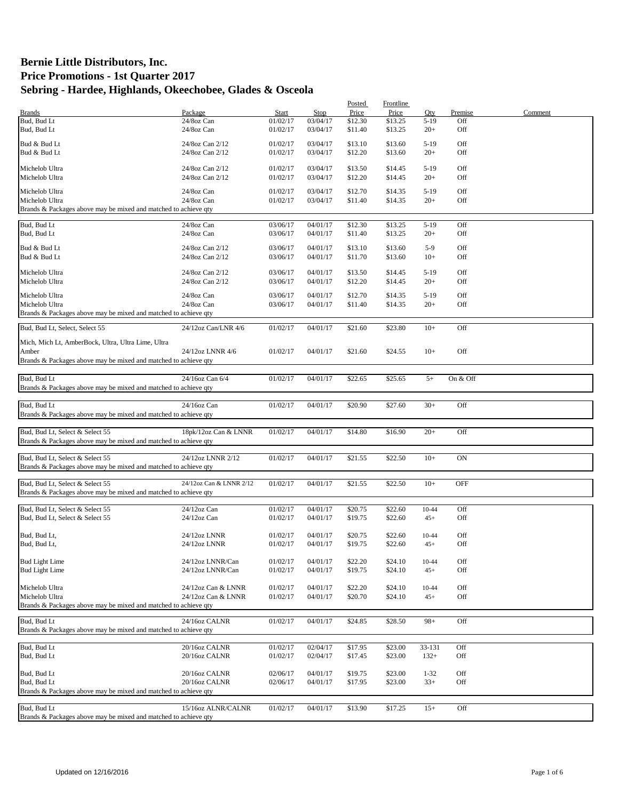|                                                                 |                         |          |          | Posted  | Frontline |           |            |         |
|-----------------------------------------------------------------|-------------------------|----------|----------|---------|-----------|-----------|------------|---------|
| <b>Brands</b>                                                   | Package                 | Start    | Stop     | Price   | Price     | Qty       | Premise    | Comment |
| Bud, Bud Lt                                                     | 24/8oz Can              | 01/02/17 | 03/04/17 | \$12.30 | \$13.25   | $5-19$    | Off        |         |
| Bud, Bud Lt                                                     | 24/8oz Can              | 01/02/17 | 03/04/17 | \$11.40 | \$13.25   | $20+$     | Off        |         |
|                                                                 |                         |          |          |         |           |           |            |         |
| Bud & Bud Lt                                                    | 24/8oz Can 2/12         | 01/02/17 | 03/04/17 | \$13.10 | \$13.60   | $5-19$    | Off        |         |
| Bud & Bud Lt                                                    | 24/8oz Can 2/12         | 01/02/17 | 03/04/17 | \$12.20 | \$13.60   | $20+$     | Off        |         |
|                                                                 |                         |          |          |         |           |           |            |         |
| Michelob Ultra                                                  | 24/8oz Can 2/12         | 01/02/17 | 03/04/17 | \$13.50 | \$14.45   | $5-19$    | Off        |         |
| Michelob Ultra                                                  | 24/8oz Can 2/12         | 01/02/17 | 03/04/17 | \$12.20 | \$14.45   | $20+$     | Off        |         |
|                                                                 |                         |          |          |         |           |           |            |         |
| Michelob Ultra                                                  | 24/8oz Can              | 01/02/17 | 03/04/17 | \$12.70 | \$14.35   | $5-19$    | Off        |         |
| Michelob Ultra                                                  | 24/8oz Can              | 01/02/17 | 03/04/17 | \$11.40 | \$14.35   | $20+$     | Off        |         |
| Brands & Packages above may be mixed and matched to achieve qty |                         |          |          |         |           |           |            |         |
|                                                                 |                         | 03/06/17 | 04/01/17 |         | \$13.25   | $5-19$    | Off        |         |
| Bud, Bud Lt                                                     | 24/8oz Can              |          |          | \$12.30 |           |           |            |         |
| Bud, Bud Lt                                                     | 24/8oz Can              | 03/06/17 | 04/01/17 | \$11.40 | \$13.25   | $20+$     | Off        |         |
| Bud & Bud Lt                                                    | 24/8oz Can 2/12         | 03/06/17 | 04/01/17 | \$13.10 | \$13.60   | $5-9$     | Off        |         |
| Bud & Bud Lt                                                    | 24/8oz Can 2/12         | 03/06/17 | 04/01/17 | \$11.70 | \$13.60   | $10+$     | Off        |         |
|                                                                 |                         |          |          |         |           |           |            |         |
| Michelob Ultra                                                  | 24/8oz Can 2/12         | 03/06/17 | 04/01/17 | \$13.50 | \$14.45   | $5-19$    | Off        |         |
| Michelob Ultra                                                  | 24/8oz Can 2/12         | 03/06/17 | 04/01/17 | \$12.20 | \$14.45   | $20+$     | Off        |         |
|                                                                 |                         |          |          |         |           |           |            |         |
| Michelob Ultra                                                  | 24/8oz Can              | 03/06/17 | 04/01/17 | \$12.70 | \$14.35   | $5-19$    | Off        |         |
| Michelob Ultra                                                  | 24/8oz Can              | 03/06/17 | 04/01/17 | \$11.40 | \$14.35   | $20+$     | Off        |         |
| Brands & Packages above may be mixed and matched to achieve qty |                         |          |          |         |           |           |            |         |
|                                                                 |                         |          |          |         |           |           |            |         |
| Bud, Bud Lt, Select, Select 55                                  | 24/12oz Can/LNR 4/6     | 01/02/17 | 04/01/17 | \$21.60 | \$23.80   | $10+$     | Off        |         |
|                                                                 |                         |          |          |         |           |           |            |         |
| Mich, Mich Lt, AmberBock, Ultra, Ultra Lime, Ultra              |                         |          |          |         |           |           |            |         |
| Amber                                                           | 24/12oz LNNR 4/6        | 01/02/17 | 04/01/17 | \$21.60 | \$24.55   | $10+$     | Off        |         |
| Brands & Packages above may be mixed and matched to achieve qty |                         |          |          |         |           |           |            |         |
|                                                                 |                         |          |          |         |           |           |            |         |
| Bud, Bud Lt                                                     | 24/16oz Can 6/4         | 01/02/17 | 04/01/17 | \$22.65 | \$25.65   | $5+$      | On & Off   |         |
| Brands & Packages above may be mixed and matched to achieve qty |                         |          |          |         |           |           |            |         |
|                                                                 |                         |          |          |         |           |           |            |         |
| Bud, Bud Lt                                                     | 24/16oz Can             | 01/02/17 | 04/01/17 | \$20.90 | \$27.60   | $30+$     | Off        |         |
| Brands & Packages above may be mixed and matched to achieve qty |                         |          |          |         |           |           |            |         |
|                                                                 |                         |          |          |         |           |           |            |         |
| Bud, Bud Lt, Select & Select 55                                 | 18pk/12oz Can & LNNR    | 01/02/17 | 04/01/17 | \$14.80 | \$16.90   | $20+$     | Off        |         |
| Brands & Packages above may be mixed and matched to achieve qty |                         |          |          |         |           |           |            |         |
|                                                                 |                         |          |          |         |           |           |            |         |
| Bud, Bud Lt, Select & Select 55                                 | 24/12oz LNNR 2/12       | 01/02/17 | 04/01/17 | \$21.55 | \$22.50   | $10+$     | <b>ON</b>  |         |
| Brands & Packages above may be mixed and matched to achieve qty |                         |          |          |         |           |           |            |         |
|                                                                 |                         |          |          |         |           |           |            |         |
| Bud, Bud Lt, Select & Select 55                                 | 24/12oz Can & LNNR 2/12 | 01/02/17 | 04/01/17 | \$21.55 | \$22.50   | $10+$     | <b>OFF</b> |         |
| Brands & Packages above may be mixed and matched to achieve qty |                         |          |          |         |           |           |            |         |
|                                                                 |                         |          |          |         |           |           |            |         |
| Bud, Bud Lt, Select & Select 55                                 | 24/12oz Can             | 01/02/17 | 04/01/17 | \$20.75 | \$22.60   | $10 - 44$ | Off        |         |
|                                                                 |                         |          |          |         |           |           |            |         |
| Bud, Bud Lt, Select & Select 55                                 | $24/12$ oz Can          | 01/02/17 | 04/01/17 | \$19.75 | \$22.60   | $45+$     | Off        |         |
|                                                                 |                         |          |          |         |           |           |            |         |
| Bud, Bud Lt,                                                    | 24/12oz LNNR            | 01/02/17 | 04/01/17 | \$20.75 | \$22.60   | 10-44     | Off        |         |
| Bud, Bud Lt,                                                    | 24/12oz LNNR            | 01/02/17 | 04/01/17 | \$19.75 | \$22.60   | $45+$     | Off        |         |
|                                                                 |                         |          |          |         |           |           |            |         |
| <b>Bud Light Lime</b>                                           | 24/12oz LNNR/Can        | 01/02/17 | 04/01/17 | \$22.20 | \$24.10   | 10-44     | Off        |         |
| <b>Bud Light Lime</b>                                           | 24/12oz LNNR/Can        | 01/02/17 | 04/01/17 | \$19.75 | \$24.10   | $45+$     | Off        |         |
|                                                                 |                         |          |          |         |           |           |            |         |
| Michelob Ultra                                                  | 24/12oz Can & LNNR      | 01/02/17 | 04/01/17 | \$22.20 | \$24.10   | 10-44     | Off        |         |
| Michelob Ultra                                                  | 24/12oz Can & LNNR      | 01/02/17 | 04/01/17 | \$20.70 | \$24.10   | $45+$     | Off        |         |
| Brands & Packages above may be mixed and matched to achieve qty |                         |          |          |         |           |           |            |         |
|                                                                 |                         |          |          |         |           |           |            |         |
| Bud, Bud Lt                                                     | 24/16oz CALNR           | 01/02/17 | 04/01/17 | \$24.85 | \$28.50   | $98+$     | Off        |         |
| Brands & Packages above may be mixed and matched to achieve qty |                         |          |          |         |           |           |            |         |
|                                                                 |                         |          |          |         |           |           |            |         |
| Bud, Bud Lt                                                     | 20/16oz CALNR           | 01/02/17 | 02/04/17 | \$17.95 | \$23.00   | 33-131    | Off        |         |
| Bud, Bud Lt                                                     | 20/16oz CALNR           | 01/02/17 | 02/04/17 | \$17.45 | \$23.00   | $132+$    | Off        |         |
|                                                                 |                         |          |          |         |           |           |            |         |
| Bud, Bud Lt                                                     | 20/16oz CALNR           | 02/06/17 | 04/01/17 | \$19.75 | \$23.00   | $1 - 32$  | Off        |         |
| Bud, Bud Lt                                                     | 20/16oz CALNR           | 02/06/17 | 04/01/17 | \$17.95 | \$23.00   | $33+$     | Off        |         |
| Brands & Packages above may be mixed and matched to achieve qty |                         |          |          |         |           |           |            |         |
|                                                                 |                         |          |          |         |           |           |            |         |
| Bud, Bud Lt                                                     | 15/16oz ALNR/CALNR      | 01/02/17 | 04/01/17 | \$13.90 | \$17.25   | $15+$     | Off        |         |
| Brands & Packages above may be mixed and matched to achieve qty |                         |          |          |         |           |           |            |         |
|                                                                 |                         |          |          |         |           |           |            |         |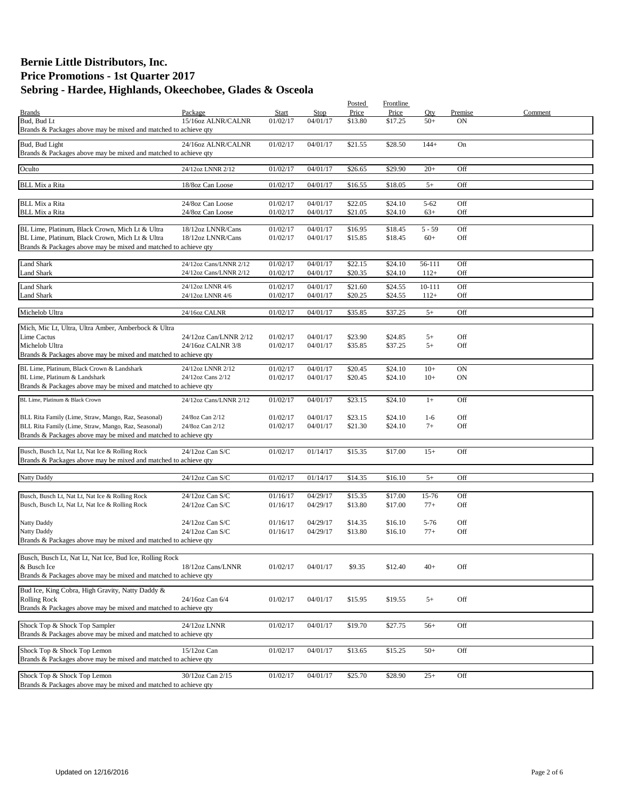| <b>Brands</b><br>Bud, Bud Lt<br>Brands & Packages above may be mixed and matched to achieve qty                                                                               | Package<br>15/16oz ALNR/CALNR                    | Start<br>01/02/17    | Stop<br>04/01/17     | Posted<br>Price<br>\$13.80 | Frontline<br>Price<br>\$17.25 | Oty<br>$50+$      | Premise<br>ON | Comment |
|-------------------------------------------------------------------------------------------------------------------------------------------------------------------------------|--------------------------------------------------|----------------------|----------------------|----------------------------|-------------------------------|-------------------|---------------|---------|
| Bud, Bud Light<br>Brands & Packages above may be mixed and matched to achieve qty                                                                                             | 24/16oz ALNR/CALNR                               | 01/02/17             | 04/01/17             | \$21.55                    | \$28.50                       | $144+$            | On            |         |
| Oculto                                                                                                                                                                        | 24/12oz LNNR 2/12                                | 01/02/17             | 04/01/17             | \$26.65                    | \$29.90                       | $20+$             | Off           |         |
| <b>BLL Mix a Rita</b>                                                                                                                                                         | 18/8oz Can Loose                                 | 01/02/17             | 04/01/17             | \$16.55                    | \$18.05                       | $5+$              | Off           |         |
| <b>BLL Mix a Rita</b>                                                                                                                                                         | 24/8oz Can Loose                                 | 01/02/17             | 04/01/17             | \$22.05                    | \$24.10                       | $5 - 62$          | Off           |         |
| <b>BLL Mix a Rita</b>                                                                                                                                                         | 24/8oz Can Loose                                 | 01/02/17             | 04/01/17             | \$21.05                    | \$24.10                       | $63+$             | Off           |         |
| BL Lime, Platinum, Black Crown, Mich Lt & Ultra<br>BL Lime, Platinum, Black Crown, Mich Lt & Ultra<br>Brands & Packages above may be mixed and matched to achieve qty         | 18/12oz LNNR/Cans<br>18/12oz LNNR/Cans           | 01/02/17<br>01/02/17 | 04/01/17<br>04/01/17 | \$16.95<br>\$15.85         | \$18.45<br>\$18.45            | $5 - 59$<br>$60+$ | Off<br>Off    |         |
| <b>Land Shark</b><br>Land Shark                                                                                                                                               | 24/12oz Cans/LNNR 2/12<br>24/12oz Cans/LNNR 2/12 | 01/02/17<br>01/02/17 | 04/01/17<br>04/01/17 | \$22.15<br>\$20.35         | \$24.10<br>\$24.10            | 56-111<br>$112+$  | Off<br>Off    |         |
| <b>Land Shark</b><br><b>Land Shark</b>                                                                                                                                        | 24/12oz LNNR 4/6<br>24/12oz LNNR 4/6             | 01/02/17<br>01/02/17 | 04/01/17<br>04/01/17 | \$21.60<br>\$20.25         | \$24.55<br>\$24.55            | 10-111<br>$112+$  | Off<br>Off    |         |
| Michelob Ultra                                                                                                                                                                | 24/16oz CALNR                                    | 01/02/17             | 04/01/17             | \$35.85                    | \$37.25                       | $5+$              | Off           |         |
| Mich, Mic Lt, Ultra, Ultra Amber, Amberbock & Ultra<br>Lime Cactus<br>Michelob Ultra<br>Brands & Packages above may be mixed and matched to achieve qty                       | 24/12oz Can/LNNR 2/12<br>24/16oz CALNR 3/8       | 01/02/17<br>01/02/17 | 04/01/17<br>04/01/17 | \$23.90<br>\$35.85         | \$24.85<br>\$37.25            | $5+$<br>$5+$      | Off<br>Off    |         |
| BL Lime, Platinum, Black Crown & Landshark<br>BL Lime, Platinum & Landshark<br>Brands & Packages above may be mixed and matched to achieve qty                                | 24/12oz LNNR 2/12<br>24/12oz Cans 2/12           | 01/02/17<br>01/02/17 | 04/01/17<br>04/01/17 | \$20.45<br>\$20.45         | \$24.10<br>\$24.10            | $10+$<br>$10+$    | ON<br>ON      |         |
| BL Lime, Platinum & Black Crown                                                                                                                                               | 24/12oz Cans/LNNR 2/12                           | 01/02/17             | 04/01/17             | \$23.15                    | \$24.10                       | $1+$              | Off           |         |
| BLL Rita Family (Lime, Straw, Mango, Raz, Seasonal)<br>BLL Rita Family (Lime, Straw, Mango, Raz, Seasonal)<br>Brands & Packages above may be mixed and matched to achieve qty | 24/8oz Can 2/12<br>24/8oz Can 2/12               | 01/02/17<br>01/02/17 | 04/01/17<br>04/01/17 | \$23.15<br>\$21.30         | \$24.10<br>\$24.10            | $1-6$<br>$7+$     | Off<br>Off    |         |
| Busch, Busch Lt, Nat Lt, Nat Ice & Rolling Rock<br>Brands & Packages above may be mixed and matched to achieve qty                                                            | 24/12oz Can S/C                                  | 01/02/17             | 01/14/17             | \$15.35                    | \$17.00                       | $15+$             | Off           |         |
| <b>Natty Daddy</b>                                                                                                                                                            | 24/12oz Can S/C                                  | 01/02/17             | 01/14/17             | \$14.35                    | \$16.10                       | $5+$              | Off           |         |
| Busch, Busch Lt, Nat Lt, Nat Ice & Rolling Rock<br>Busch, Busch Lt, Nat Lt, Nat Ice & Rolling Rock                                                                            | 24/12oz Can S/C<br>$24/12$ oz Can S/C            | 01/16/17<br>01/16/17 | 04/29/17<br>04/29/17 | \$15.35<br>\$13.80         | \$17.00<br>\$17.00            | 15-76<br>$77+$    | Off<br>Off    |         |
| Natty Daddy<br>Natty Daddy<br>Brands & Packages above may be mixed and matched to achieve gty                                                                                 | 24/12oz Can S/C<br>24/12oz Can S/C               | 01/16/17<br>01/16/17 | 04/29/17<br>04/29/17 | \$14.35<br>\$13.80         | \$16.10<br>\$16.10            | $5 - 76$<br>$77+$ | Off<br>Off    |         |
| Busch, Busch Lt, Nat Lt, Nat Ice, Bud Ice, Rolling Rock<br>& Busch Ice<br>Brands & Packages above may be mixed and matched to achieve qty                                     | 18/12oz Cans/LNNR                                | 01/02/17             | 04/01/17             | \$9.35                     | \$12.40                       | $40+$             | Off           |         |
| Bud Ice, King Cobra, High Gravity, Natty Daddy &<br><b>Rolling Rock</b><br>Brands & Packages above may be mixed and matched to achieve qty                                    | 24/16oz Can 6/4                                  | 01/02/17             | 04/01/17             | \$15.95                    | \$19.55                       | $5+$              | Off           |         |
| Shock Top & Shock Top Sampler<br>Brands & Packages above may be mixed and matched to achieve qty                                                                              | 24/12oz LNNR                                     | 01/02/17             | 04/01/17             | \$19.70                    | \$27.75                       | $56+$             | Off           |         |
| Shock Top & Shock Top Lemon<br>Brands & Packages above may be mixed and matched to achieve qty                                                                                | 15/12oz Can                                      | 01/02/17             | 04/01/17             | \$13.65                    | \$15.25                       | $50+$             | Off           |         |
| Shock Top & Shock Top Lemon<br>Brands & Packages above may be mixed and matched to achieve qty                                                                                | 30/12oz Can 2/15                                 | 01/02/17             | 04/01/17             | \$25.70                    | \$28.90                       | $25+$             | Off           |         |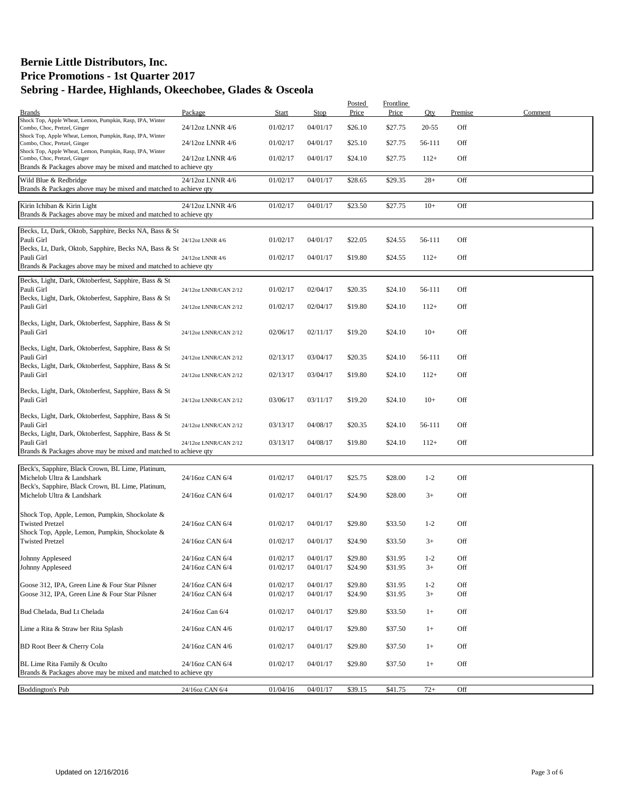| Package<br>Start<br>Stop<br>Price<br>Price<br>Premise<br>Comment<br><b>Brands</b><br>Qty<br>Shock Top, Apple Wheat, Lemon, Pumpkin, Rasp, IPA, Winter<br>01/02/17<br>04/01/17<br>\$26.10<br>\$27.75<br>$20 - 55$<br>Off<br>Combo, Choc, Pretzel, Ginger<br>24/12oz LNNR 4/6<br>Shock Top, Apple Wheat, Lemon, Pumpkin, Rasp, IPA, Winter<br>04/01/17<br>\$25.10<br>Off<br>Combo, Choc, Pretzel, Ginger<br>24/12oz LNNR 4/6<br>01/02/17<br>\$27.75<br>56-111<br>Shock Top, Apple Wheat, Lemon, Pumpkin, Rasp, IPA, Winter<br>01/02/17<br>04/01/17<br>\$24.10<br>Off<br>Combo, Choc, Pretzel, Ginger<br>24/12oz LNNR 4/6<br>\$27.75<br>$112+$<br>Brands & Packages above may be mixed and matched to achieve qty<br>24/12oz LNNR 4/6<br>01/02/17<br>04/01/17<br>\$29.35<br>$28+$<br>Off<br>Wild Blue & Redbridge<br>\$28.65<br>Brands & Packages above may be mixed and matched to achieve qty<br>01/02/17<br>04/01/17<br>\$23.50<br>\$27.75<br>Off<br>Kirin Ichiban & Kirin Light<br>24/12oz LNNR 4/6<br>$10+$<br>Brands & Packages above may be mixed and matched to achieve qty<br>Becks, Lt, Dark, Oktob, Sapphire, Becks NA, Bass & St<br>Pauli Girl<br>\$22.05<br>Off<br>01/02/17<br>04/01/17<br>\$24.55<br>56-111<br>24/12oz LNNR 4/6<br>Becks, Lt, Dark, Oktob, Sapphire, Becks NA, Bass & St<br>Pauli Girl<br>Off<br>01/02/17<br>04/01/17<br>\$19.80<br>\$24.55<br>$112+$<br>24/12oz LNNR 4/6<br>Brands & Packages above may be mixed and matched to achieve qty<br>Becks, Light, Dark, Oktoberfest, Sapphire, Bass & St<br>Pauli Girl<br>Off<br>01/02/17<br>02/04/17<br>\$20.35<br>\$24.10<br>56-111<br>24/12oz LNNR/CAN 2/12<br>Becks, Light, Dark, Oktoberfest, Sapphire, Bass & St<br>Pauli Girl<br>\$19.80<br>$112+$<br>Off<br>01/02/17<br>02/04/17<br>\$24.10<br>24/12oz LNNR/CAN 2/12<br>Becks, Light, Dark, Oktoberfest, Sapphire, Bass & St<br>Pauli Girl<br>Off<br>02/06/17<br>02/11/17<br>\$19.20<br>\$24.10<br>$10+$<br>24/12oz LNNR/CAN 2/12<br>Becks, Light, Dark, Oktoberfest, Sapphire, Bass & St<br>Pauli Girl<br>Off<br>02/13/17<br>03/04/17<br>\$20.35<br>\$24.10<br>56-111<br>24/12oz LNNR/CAN 2/12<br>Becks, Light, Dark, Oktoberfest, Sapphire, Bass & St<br>Pauli Girl<br>\$19.80<br>Off<br>02/13/17<br>03/04/17<br>\$24.10<br>$112+$<br>24/12oz LNNR/CAN 2/12<br>Becks, Light, Dark, Oktoberfest, Sapphire, Bass & St<br>Pauli Girl<br>\$19.20<br>$10+$<br>Off<br>03/06/17<br>03/11/17<br>\$24.10<br>24/12oz LNNR/CAN 2/12<br>Becks, Light, Dark, Oktoberfest, Sapphire, Bass & St<br>Pauli Girl<br>\$20.35<br>Off<br>03/13/17<br>04/08/17<br>\$24.10<br>56-111<br>24/12oz LNNR/CAN 2/12<br>Becks, Light, Dark, Oktoberfest, Sapphire, Bass & St<br>Pauli Girl<br>Off<br>03/13/17<br>04/08/17<br>\$19.80<br>\$24.10<br>$112+$<br>24/12oz LNNR/CAN 2/12<br>Brands & Packages above may be mixed and matched to achieve qty<br>Beck's, Sapphire, Black Crown, BL Lime, Platinum,<br>Michelob Ultra & Landshark<br>\$25.75<br>Off<br>24/16oz CAN 6/4<br>01/02/17<br>04/01/17<br>\$28.00<br>$1 - 2$<br>Beck's, Sapphire, Black Crown, BL Lime, Platinum,<br>Michelob Ultra & Landshark<br>04/01/17<br>Off<br>24/16oz CAN 6/4<br>01/02/17<br>\$24.90<br>\$28.00<br>$3+$<br>Shock Top, Apple, Lemon, Pumpkin, Shockolate &<br><b>Twisted Pretzel</b><br>Off<br>24/16oz CAN 6/4<br>01/02/17<br>04/01/17<br>\$29.80<br>\$33.50<br>$1 - 2$<br>Shock Top, Apple, Lemon, Pumpkin, Shockolate &<br><b>Twisted Pretzel</b><br>24/16oz CAN 6/4<br>01/02/17<br>04/01/17<br>\$24.90<br>\$33.50<br>$3+$<br>Off<br>Johnny Appleseed<br>24/16oz CAN 6/4<br>01/02/17<br>04/01/17<br>\$29.80<br>\$31.95<br>$1 - 2$<br>Off<br>Off<br>Johnny Appleseed<br>24/16oz CAN 6/4<br>01/02/17<br>04/01/17<br>\$24.90<br>\$31.95<br>$3+$<br>Goose 312, IPA, Green Line & Four Star Pilsner<br>24/16oz CAN 6/4<br>01/02/17<br>04/01/17<br>\$29.80<br>\$31.95<br>$1 - 2$<br>Off |
|------------------------------------------------------------------------------------------------------------------------------------------------------------------------------------------------------------------------------------------------------------------------------------------------------------------------------------------------------------------------------------------------------------------------------------------------------------------------------------------------------------------------------------------------------------------------------------------------------------------------------------------------------------------------------------------------------------------------------------------------------------------------------------------------------------------------------------------------------------------------------------------------------------------------------------------------------------------------------------------------------------------------------------------------------------------------------------------------------------------------------------------------------------------------------------------------------------------------------------------------------------------------------------------------------------------------------------------------------------------------------------------------------------------------------------------------------------------------------------------------------------------------------------------------------------------------------------------------------------------------------------------------------------------------------------------------------------------------------------------------------------------------------------------------------------------------------------------------------------------------------------------------------------------------------------------------------------------------------------------------------------------------------------------------------------------------------------------------------------------------------------------------------------------------------------------------------------------------------------------------------------------------------------------------------------------------------------------------------------------------------------------------------------------------------------------------------------------------------------------------------------------------------------------------------------------------------------------------------------------------------------------------------------------------------------------------------------------------------------------------------------------------------------------------------------------------------------------------------------------------------------------------------------------------------------------------------------------------------------------------------------------------------------------------------------------------------------------------------------------------------------------------------------------------------------------------------------------------------------------------------------------------------------------------------------------------------------------------------------------------------------------------------------------------------------------------------------------------------------------------------------------------------------------------------------------------------------------------------------------------------------------------------------------------------------------------------------------------------------------------------------------------------------------------------------------------------------------------------------------------------|
|                                                                                                                                                                                                                                                                                                                                                                                                                                                                                                                                                                                                                                                                                                                                                                                                                                                                                                                                                                                                                                                                                                                                                                                                                                                                                                                                                                                                                                                                                                                                                                                                                                                                                                                                                                                                                                                                                                                                                                                                                                                                                                                                                                                                                                                                                                                                                                                                                                                                                                                                                                                                                                                                                                                                                                                                                                                                                                                                                                                                                                                                                                                                                                                                                                                                                                                                                                                                                                                                                                                                                                                                                                                                                                                                                                                                                                                                              |
|                                                                                                                                                                                                                                                                                                                                                                                                                                                                                                                                                                                                                                                                                                                                                                                                                                                                                                                                                                                                                                                                                                                                                                                                                                                                                                                                                                                                                                                                                                                                                                                                                                                                                                                                                                                                                                                                                                                                                                                                                                                                                                                                                                                                                                                                                                                                                                                                                                                                                                                                                                                                                                                                                                                                                                                                                                                                                                                                                                                                                                                                                                                                                                                                                                                                                                                                                                                                                                                                                                                                                                                                                                                                                                                                                                                                                                                                              |
|                                                                                                                                                                                                                                                                                                                                                                                                                                                                                                                                                                                                                                                                                                                                                                                                                                                                                                                                                                                                                                                                                                                                                                                                                                                                                                                                                                                                                                                                                                                                                                                                                                                                                                                                                                                                                                                                                                                                                                                                                                                                                                                                                                                                                                                                                                                                                                                                                                                                                                                                                                                                                                                                                                                                                                                                                                                                                                                                                                                                                                                                                                                                                                                                                                                                                                                                                                                                                                                                                                                                                                                                                                                                                                                                                                                                                                                                              |
|                                                                                                                                                                                                                                                                                                                                                                                                                                                                                                                                                                                                                                                                                                                                                                                                                                                                                                                                                                                                                                                                                                                                                                                                                                                                                                                                                                                                                                                                                                                                                                                                                                                                                                                                                                                                                                                                                                                                                                                                                                                                                                                                                                                                                                                                                                                                                                                                                                                                                                                                                                                                                                                                                                                                                                                                                                                                                                                                                                                                                                                                                                                                                                                                                                                                                                                                                                                                                                                                                                                                                                                                                                                                                                                                                                                                                                                                              |
|                                                                                                                                                                                                                                                                                                                                                                                                                                                                                                                                                                                                                                                                                                                                                                                                                                                                                                                                                                                                                                                                                                                                                                                                                                                                                                                                                                                                                                                                                                                                                                                                                                                                                                                                                                                                                                                                                                                                                                                                                                                                                                                                                                                                                                                                                                                                                                                                                                                                                                                                                                                                                                                                                                                                                                                                                                                                                                                                                                                                                                                                                                                                                                                                                                                                                                                                                                                                                                                                                                                                                                                                                                                                                                                                                                                                                                                                              |
|                                                                                                                                                                                                                                                                                                                                                                                                                                                                                                                                                                                                                                                                                                                                                                                                                                                                                                                                                                                                                                                                                                                                                                                                                                                                                                                                                                                                                                                                                                                                                                                                                                                                                                                                                                                                                                                                                                                                                                                                                                                                                                                                                                                                                                                                                                                                                                                                                                                                                                                                                                                                                                                                                                                                                                                                                                                                                                                                                                                                                                                                                                                                                                                                                                                                                                                                                                                                                                                                                                                                                                                                                                                                                                                                                                                                                                                                              |
|                                                                                                                                                                                                                                                                                                                                                                                                                                                                                                                                                                                                                                                                                                                                                                                                                                                                                                                                                                                                                                                                                                                                                                                                                                                                                                                                                                                                                                                                                                                                                                                                                                                                                                                                                                                                                                                                                                                                                                                                                                                                                                                                                                                                                                                                                                                                                                                                                                                                                                                                                                                                                                                                                                                                                                                                                                                                                                                                                                                                                                                                                                                                                                                                                                                                                                                                                                                                                                                                                                                                                                                                                                                                                                                                                                                                                                                                              |
|                                                                                                                                                                                                                                                                                                                                                                                                                                                                                                                                                                                                                                                                                                                                                                                                                                                                                                                                                                                                                                                                                                                                                                                                                                                                                                                                                                                                                                                                                                                                                                                                                                                                                                                                                                                                                                                                                                                                                                                                                                                                                                                                                                                                                                                                                                                                                                                                                                                                                                                                                                                                                                                                                                                                                                                                                                                                                                                                                                                                                                                                                                                                                                                                                                                                                                                                                                                                                                                                                                                                                                                                                                                                                                                                                                                                                                                                              |
|                                                                                                                                                                                                                                                                                                                                                                                                                                                                                                                                                                                                                                                                                                                                                                                                                                                                                                                                                                                                                                                                                                                                                                                                                                                                                                                                                                                                                                                                                                                                                                                                                                                                                                                                                                                                                                                                                                                                                                                                                                                                                                                                                                                                                                                                                                                                                                                                                                                                                                                                                                                                                                                                                                                                                                                                                                                                                                                                                                                                                                                                                                                                                                                                                                                                                                                                                                                                                                                                                                                                                                                                                                                                                                                                                                                                                                                                              |
|                                                                                                                                                                                                                                                                                                                                                                                                                                                                                                                                                                                                                                                                                                                                                                                                                                                                                                                                                                                                                                                                                                                                                                                                                                                                                                                                                                                                                                                                                                                                                                                                                                                                                                                                                                                                                                                                                                                                                                                                                                                                                                                                                                                                                                                                                                                                                                                                                                                                                                                                                                                                                                                                                                                                                                                                                                                                                                                                                                                                                                                                                                                                                                                                                                                                                                                                                                                                                                                                                                                                                                                                                                                                                                                                                                                                                                                                              |
|                                                                                                                                                                                                                                                                                                                                                                                                                                                                                                                                                                                                                                                                                                                                                                                                                                                                                                                                                                                                                                                                                                                                                                                                                                                                                                                                                                                                                                                                                                                                                                                                                                                                                                                                                                                                                                                                                                                                                                                                                                                                                                                                                                                                                                                                                                                                                                                                                                                                                                                                                                                                                                                                                                                                                                                                                                                                                                                                                                                                                                                                                                                                                                                                                                                                                                                                                                                                                                                                                                                                                                                                                                                                                                                                                                                                                                                                              |
|                                                                                                                                                                                                                                                                                                                                                                                                                                                                                                                                                                                                                                                                                                                                                                                                                                                                                                                                                                                                                                                                                                                                                                                                                                                                                                                                                                                                                                                                                                                                                                                                                                                                                                                                                                                                                                                                                                                                                                                                                                                                                                                                                                                                                                                                                                                                                                                                                                                                                                                                                                                                                                                                                                                                                                                                                                                                                                                                                                                                                                                                                                                                                                                                                                                                                                                                                                                                                                                                                                                                                                                                                                                                                                                                                                                                                                                                              |
|                                                                                                                                                                                                                                                                                                                                                                                                                                                                                                                                                                                                                                                                                                                                                                                                                                                                                                                                                                                                                                                                                                                                                                                                                                                                                                                                                                                                                                                                                                                                                                                                                                                                                                                                                                                                                                                                                                                                                                                                                                                                                                                                                                                                                                                                                                                                                                                                                                                                                                                                                                                                                                                                                                                                                                                                                                                                                                                                                                                                                                                                                                                                                                                                                                                                                                                                                                                                                                                                                                                                                                                                                                                                                                                                                                                                                                                                              |
|                                                                                                                                                                                                                                                                                                                                                                                                                                                                                                                                                                                                                                                                                                                                                                                                                                                                                                                                                                                                                                                                                                                                                                                                                                                                                                                                                                                                                                                                                                                                                                                                                                                                                                                                                                                                                                                                                                                                                                                                                                                                                                                                                                                                                                                                                                                                                                                                                                                                                                                                                                                                                                                                                                                                                                                                                                                                                                                                                                                                                                                                                                                                                                                                                                                                                                                                                                                                                                                                                                                                                                                                                                                                                                                                                                                                                                                                              |
|                                                                                                                                                                                                                                                                                                                                                                                                                                                                                                                                                                                                                                                                                                                                                                                                                                                                                                                                                                                                                                                                                                                                                                                                                                                                                                                                                                                                                                                                                                                                                                                                                                                                                                                                                                                                                                                                                                                                                                                                                                                                                                                                                                                                                                                                                                                                                                                                                                                                                                                                                                                                                                                                                                                                                                                                                                                                                                                                                                                                                                                                                                                                                                                                                                                                                                                                                                                                                                                                                                                                                                                                                                                                                                                                                                                                                                                                              |
|                                                                                                                                                                                                                                                                                                                                                                                                                                                                                                                                                                                                                                                                                                                                                                                                                                                                                                                                                                                                                                                                                                                                                                                                                                                                                                                                                                                                                                                                                                                                                                                                                                                                                                                                                                                                                                                                                                                                                                                                                                                                                                                                                                                                                                                                                                                                                                                                                                                                                                                                                                                                                                                                                                                                                                                                                                                                                                                                                                                                                                                                                                                                                                                                                                                                                                                                                                                                                                                                                                                                                                                                                                                                                                                                                                                                                                                                              |
|                                                                                                                                                                                                                                                                                                                                                                                                                                                                                                                                                                                                                                                                                                                                                                                                                                                                                                                                                                                                                                                                                                                                                                                                                                                                                                                                                                                                                                                                                                                                                                                                                                                                                                                                                                                                                                                                                                                                                                                                                                                                                                                                                                                                                                                                                                                                                                                                                                                                                                                                                                                                                                                                                                                                                                                                                                                                                                                                                                                                                                                                                                                                                                                                                                                                                                                                                                                                                                                                                                                                                                                                                                                                                                                                                                                                                                                                              |
|                                                                                                                                                                                                                                                                                                                                                                                                                                                                                                                                                                                                                                                                                                                                                                                                                                                                                                                                                                                                                                                                                                                                                                                                                                                                                                                                                                                                                                                                                                                                                                                                                                                                                                                                                                                                                                                                                                                                                                                                                                                                                                                                                                                                                                                                                                                                                                                                                                                                                                                                                                                                                                                                                                                                                                                                                                                                                                                                                                                                                                                                                                                                                                                                                                                                                                                                                                                                                                                                                                                                                                                                                                                                                                                                                                                                                                                                              |
|                                                                                                                                                                                                                                                                                                                                                                                                                                                                                                                                                                                                                                                                                                                                                                                                                                                                                                                                                                                                                                                                                                                                                                                                                                                                                                                                                                                                                                                                                                                                                                                                                                                                                                                                                                                                                                                                                                                                                                                                                                                                                                                                                                                                                                                                                                                                                                                                                                                                                                                                                                                                                                                                                                                                                                                                                                                                                                                                                                                                                                                                                                                                                                                                                                                                                                                                                                                                                                                                                                                                                                                                                                                                                                                                                                                                                                                                              |
|                                                                                                                                                                                                                                                                                                                                                                                                                                                                                                                                                                                                                                                                                                                                                                                                                                                                                                                                                                                                                                                                                                                                                                                                                                                                                                                                                                                                                                                                                                                                                                                                                                                                                                                                                                                                                                                                                                                                                                                                                                                                                                                                                                                                                                                                                                                                                                                                                                                                                                                                                                                                                                                                                                                                                                                                                                                                                                                                                                                                                                                                                                                                                                                                                                                                                                                                                                                                                                                                                                                                                                                                                                                                                                                                                                                                                                                                              |
|                                                                                                                                                                                                                                                                                                                                                                                                                                                                                                                                                                                                                                                                                                                                                                                                                                                                                                                                                                                                                                                                                                                                                                                                                                                                                                                                                                                                                                                                                                                                                                                                                                                                                                                                                                                                                                                                                                                                                                                                                                                                                                                                                                                                                                                                                                                                                                                                                                                                                                                                                                                                                                                                                                                                                                                                                                                                                                                                                                                                                                                                                                                                                                                                                                                                                                                                                                                                                                                                                                                                                                                                                                                                                                                                                                                                                                                                              |
|                                                                                                                                                                                                                                                                                                                                                                                                                                                                                                                                                                                                                                                                                                                                                                                                                                                                                                                                                                                                                                                                                                                                                                                                                                                                                                                                                                                                                                                                                                                                                                                                                                                                                                                                                                                                                                                                                                                                                                                                                                                                                                                                                                                                                                                                                                                                                                                                                                                                                                                                                                                                                                                                                                                                                                                                                                                                                                                                                                                                                                                                                                                                                                                                                                                                                                                                                                                                                                                                                                                                                                                                                                                                                                                                                                                                                                                                              |
|                                                                                                                                                                                                                                                                                                                                                                                                                                                                                                                                                                                                                                                                                                                                                                                                                                                                                                                                                                                                                                                                                                                                                                                                                                                                                                                                                                                                                                                                                                                                                                                                                                                                                                                                                                                                                                                                                                                                                                                                                                                                                                                                                                                                                                                                                                                                                                                                                                                                                                                                                                                                                                                                                                                                                                                                                                                                                                                                                                                                                                                                                                                                                                                                                                                                                                                                                                                                                                                                                                                                                                                                                                                                                                                                                                                                                                                                              |
|                                                                                                                                                                                                                                                                                                                                                                                                                                                                                                                                                                                                                                                                                                                                                                                                                                                                                                                                                                                                                                                                                                                                                                                                                                                                                                                                                                                                                                                                                                                                                                                                                                                                                                                                                                                                                                                                                                                                                                                                                                                                                                                                                                                                                                                                                                                                                                                                                                                                                                                                                                                                                                                                                                                                                                                                                                                                                                                                                                                                                                                                                                                                                                                                                                                                                                                                                                                                                                                                                                                                                                                                                                                                                                                                                                                                                                                                              |
|                                                                                                                                                                                                                                                                                                                                                                                                                                                                                                                                                                                                                                                                                                                                                                                                                                                                                                                                                                                                                                                                                                                                                                                                                                                                                                                                                                                                                                                                                                                                                                                                                                                                                                                                                                                                                                                                                                                                                                                                                                                                                                                                                                                                                                                                                                                                                                                                                                                                                                                                                                                                                                                                                                                                                                                                                                                                                                                                                                                                                                                                                                                                                                                                                                                                                                                                                                                                                                                                                                                                                                                                                                                                                                                                                                                                                                                                              |
|                                                                                                                                                                                                                                                                                                                                                                                                                                                                                                                                                                                                                                                                                                                                                                                                                                                                                                                                                                                                                                                                                                                                                                                                                                                                                                                                                                                                                                                                                                                                                                                                                                                                                                                                                                                                                                                                                                                                                                                                                                                                                                                                                                                                                                                                                                                                                                                                                                                                                                                                                                                                                                                                                                                                                                                                                                                                                                                                                                                                                                                                                                                                                                                                                                                                                                                                                                                                                                                                                                                                                                                                                                                                                                                                                                                                                                                                              |
|                                                                                                                                                                                                                                                                                                                                                                                                                                                                                                                                                                                                                                                                                                                                                                                                                                                                                                                                                                                                                                                                                                                                                                                                                                                                                                                                                                                                                                                                                                                                                                                                                                                                                                                                                                                                                                                                                                                                                                                                                                                                                                                                                                                                                                                                                                                                                                                                                                                                                                                                                                                                                                                                                                                                                                                                                                                                                                                                                                                                                                                                                                                                                                                                                                                                                                                                                                                                                                                                                                                                                                                                                                                                                                                                                                                                                                                                              |
|                                                                                                                                                                                                                                                                                                                                                                                                                                                                                                                                                                                                                                                                                                                                                                                                                                                                                                                                                                                                                                                                                                                                                                                                                                                                                                                                                                                                                                                                                                                                                                                                                                                                                                                                                                                                                                                                                                                                                                                                                                                                                                                                                                                                                                                                                                                                                                                                                                                                                                                                                                                                                                                                                                                                                                                                                                                                                                                                                                                                                                                                                                                                                                                                                                                                                                                                                                                                                                                                                                                                                                                                                                                                                                                                                                                                                                                                              |
|                                                                                                                                                                                                                                                                                                                                                                                                                                                                                                                                                                                                                                                                                                                                                                                                                                                                                                                                                                                                                                                                                                                                                                                                                                                                                                                                                                                                                                                                                                                                                                                                                                                                                                                                                                                                                                                                                                                                                                                                                                                                                                                                                                                                                                                                                                                                                                                                                                                                                                                                                                                                                                                                                                                                                                                                                                                                                                                                                                                                                                                                                                                                                                                                                                                                                                                                                                                                                                                                                                                                                                                                                                                                                                                                                                                                                                                                              |
|                                                                                                                                                                                                                                                                                                                                                                                                                                                                                                                                                                                                                                                                                                                                                                                                                                                                                                                                                                                                                                                                                                                                                                                                                                                                                                                                                                                                                                                                                                                                                                                                                                                                                                                                                                                                                                                                                                                                                                                                                                                                                                                                                                                                                                                                                                                                                                                                                                                                                                                                                                                                                                                                                                                                                                                                                                                                                                                                                                                                                                                                                                                                                                                                                                                                                                                                                                                                                                                                                                                                                                                                                                                                                                                                                                                                                                                                              |
|                                                                                                                                                                                                                                                                                                                                                                                                                                                                                                                                                                                                                                                                                                                                                                                                                                                                                                                                                                                                                                                                                                                                                                                                                                                                                                                                                                                                                                                                                                                                                                                                                                                                                                                                                                                                                                                                                                                                                                                                                                                                                                                                                                                                                                                                                                                                                                                                                                                                                                                                                                                                                                                                                                                                                                                                                                                                                                                                                                                                                                                                                                                                                                                                                                                                                                                                                                                                                                                                                                                                                                                                                                                                                                                                                                                                                                                                              |
|                                                                                                                                                                                                                                                                                                                                                                                                                                                                                                                                                                                                                                                                                                                                                                                                                                                                                                                                                                                                                                                                                                                                                                                                                                                                                                                                                                                                                                                                                                                                                                                                                                                                                                                                                                                                                                                                                                                                                                                                                                                                                                                                                                                                                                                                                                                                                                                                                                                                                                                                                                                                                                                                                                                                                                                                                                                                                                                                                                                                                                                                                                                                                                                                                                                                                                                                                                                                                                                                                                                                                                                                                                                                                                                                                                                                                                                                              |
|                                                                                                                                                                                                                                                                                                                                                                                                                                                                                                                                                                                                                                                                                                                                                                                                                                                                                                                                                                                                                                                                                                                                                                                                                                                                                                                                                                                                                                                                                                                                                                                                                                                                                                                                                                                                                                                                                                                                                                                                                                                                                                                                                                                                                                                                                                                                                                                                                                                                                                                                                                                                                                                                                                                                                                                                                                                                                                                                                                                                                                                                                                                                                                                                                                                                                                                                                                                                                                                                                                                                                                                                                                                                                                                                                                                                                                                                              |
|                                                                                                                                                                                                                                                                                                                                                                                                                                                                                                                                                                                                                                                                                                                                                                                                                                                                                                                                                                                                                                                                                                                                                                                                                                                                                                                                                                                                                                                                                                                                                                                                                                                                                                                                                                                                                                                                                                                                                                                                                                                                                                                                                                                                                                                                                                                                                                                                                                                                                                                                                                                                                                                                                                                                                                                                                                                                                                                                                                                                                                                                                                                                                                                                                                                                                                                                                                                                                                                                                                                                                                                                                                                                                                                                                                                                                                                                              |
|                                                                                                                                                                                                                                                                                                                                                                                                                                                                                                                                                                                                                                                                                                                                                                                                                                                                                                                                                                                                                                                                                                                                                                                                                                                                                                                                                                                                                                                                                                                                                                                                                                                                                                                                                                                                                                                                                                                                                                                                                                                                                                                                                                                                                                                                                                                                                                                                                                                                                                                                                                                                                                                                                                                                                                                                                                                                                                                                                                                                                                                                                                                                                                                                                                                                                                                                                                                                                                                                                                                                                                                                                                                                                                                                                                                                                                                                              |
|                                                                                                                                                                                                                                                                                                                                                                                                                                                                                                                                                                                                                                                                                                                                                                                                                                                                                                                                                                                                                                                                                                                                                                                                                                                                                                                                                                                                                                                                                                                                                                                                                                                                                                                                                                                                                                                                                                                                                                                                                                                                                                                                                                                                                                                                                                                                                                                                                                                                                                                                                                                                                                                                                                                                                                                                                                                                                                                                                                                                                                                                                                                                                                                                                                                                                                                                                                                                                                                                                                                                                                                                                                                                                                                                                                                                                                                                              |
|                                                                                                                                                                                                                                                                                                                                                                                                                                                                                                                                                                                                                                                                                                                                                                                                                                                                                                                                                                                                                                                                                                                                                                                                                                                                                                                                                                                                                                                                                                                                                                                                                                                                                                                                                                                                                                                                                                                                                                                                                                                                                                                                                                                                                                                                                                                                                                                                                                                                                                                                                                                                                                                                                                                                                                                                                                                                                                                                                                                                                                                                                                                                                                                                                                                                                                                                                                                                                                                                                                                                                                                                                                                                                                                                                                                                                                                                              |
|                                                                                                                                                                                                                                                                                                                                                                                                                                                                                                                                                                                                                                                                                                                                                                                                                                                                                                                                                                                                                                                                                                                                                                                                                                                                                                                                                                                                                                                                                                                                                                                                                                                                                                                                                                                                                                                                                                                                                                                                                                                                                                                                                                                                                                                                                                                                                                                                                                                                                                                                                                                                                                                                                                                                                                                                                                                                                                                                                                                                                                                                                                                                                                                                                                                                                                                                                                                                                                                                                                                                                                                                                                                                                                                                                                                                                                                                              |
|                                                                                                                                                                                                                                                                                                                                                                                                                                                                                                                                                                                                                                                                                                                                                                                                                                                                                                                                                                                                                                                                                                                                                                                                                                                                                                                                                                                                                                                                                                                                                                                                                                                                                                                                                                                                                                                                                                                                                                                                                                                                                                                                                                                                                                                                                                                                                                                                                                                                                                                                                                                                                                                                                                                                                                                                                                                                                                                                                                                                                                                                                                                                                                                                                                                                                                                                                                                                                                                                                                                                                                                                                                                                                                                                                                                                                                                                              |
|                                                                                                                                                                                                                                                                                                                                                                                                                                                                                                                                                                                                                                                                                                                                                                                                                                                                                                                                                                                                                                                                                                                                                                                                                                                                                                                                                                                                                                                                                                                                                                                                                                                                                                                                                                                                                                                                                                                                                                                                                                                                                                                                                                                                                                                                                                                                                                                                                                                                                                                                                                                                                                                                                                                                                                                                                                                                                                                                                                                                                                                                                                                                                                                                                                                                                                                                                                                                                                                                                                                                                                                                                                                                                                                                                                                                                                                                              |
|                                                                                                                                                                                                                                                                                                                                                                                                                                                                                                                                                                                                                                                                                                                                                                                                                                                                                                                                                                                                                                                                                                                                                                                                                                                                                                                                                                                                                                                                                                                                                                                                                                                                                                                                                                                                                                                                                                                                                                                                                                                                                                                                                                                                                                                                                                                                                                                                                                                                                                                                                                                                                                                                                                                                                                                                                                                                                                                                                                                                                                                                                                                                                                                                                                                                                                                                                                                                                                                                                                                                                                                                                                                                                                                                                                                                                                                                              |
|                                                                                                                                                                                                                                                                                                                                                                                                                                                                                                                                                                                                                                                                                                                                                                                                                                                                                                                                                                                                                                                                                                                                                                                                                                                                                                                                                                                                                                                                                                                                                                                                                                                                                                                                                                                                                                                                                                                                                                                                                                                                                                                                                                                                                                                                                                                                                                                                                                                                                                                                                                                                                                                                                                                                                                                                                                                                                                                                                                                                                                                                                                                                                                                                                                                                                                                                                                                                                                                                                                                                                                                                                                                                                                                                                                                                                                                                              |
|                                                                                                                                                                                                                                                                                                                                                                                                                                                                                                                                                                                                                                                                                                                                                                                                                                                                                                                                                                                                                                                                                                                                                                                                                                                                                                                                                                                                                                                                                                                                                                                                                                                                                                                                                                                                                                                                                                                                                                                                                                                                                                                                                                                                                                                                                                                                                                                                                                                                                                                                                                                                                                                                                                                                                                                                                                                                                                                                                                                                                                                                                                                                                                                                                                                                                                                                                                                                                                                                                                                                                                                                                                                                                                                                                                                                                                                                              |
|                                                                                                                                                                                                                                                                                                                                                                                                                                                                                                                                                                                                                                                                                                                                                                                                                                                                                                                                                                                                                                                                                                                                                                                                                                                                                                                                                                                                                                                                                                                                                                                                                                                                                                                                                                                                                                                                                                                                                                                                                                                                                                                                                                                                                                                                                                                                                                                                                                                                                                                                                                                                                                                                                                                                                                                                                                                                                                                                                                                                                                                                                                                                                                                                                                                                                                                                                                                                                                                                                                                                                                                                                                                                                                                                                                                                                                                                              |
| Goose 312, IPA, Green Line & Four Star Pilsner<br>24/16oz CAN 6/4<br>01/02/17<br>04/01/17<br>\$31.95<br>$3+$<br>Off<br>\$24.90                                                                                                                                                                                                                                                                                                                                                                                                                                                                                                                                                                                                                                                                                                                                                                                                                                                                                                                                                                                                                                                                                                                                                                                                                                                                                                                                                                                                                                                                                                                                                                                                                                                                                                                                                                                                                                                                                                                                                                                                                                                                                                                                                                                                                                                                                                                                                                                                                                                                                                                                                                                                                                                                                                                                                                                                                                                                                                                                                                                                                                                                                                                                                                                                                                                                                                                                                                                                                                                                                                                                                                                                                                                                                                                                               |
| Bud Chelada, Bud Lt Chelada<br>24/16oz Can 6/4<br>01/02/17<br>04/01/17<br>\$29.80<br>\$33.50<br>Off<br>$1+$                                                                                                                                                                                                                                                                                                                                                                                                                                                                                                                                                                                                                                                                                                                                                                                                                                                                                                                                                                                                                                                                                                                                                                                                                                                                                                                                                                                                                                                                                                                                                                                                                                                                                                                                                                                                                                                                                                                                                                                                                                                                                                                                                                                                                                                                                                                                                                                                                                                                                                                                                                                                                                                                                                                                                                                                                                                                                                                                                                                                                                                                                                                                                                                                                                                                                                                                                                                                                                                                                                                                                                                                                                                                                                                                                                  |
|                                                                                                                                                                                                                                                                                                                                                                                                                                                                                                                                                                                                                                                                                                                                                                                                                                                                                                                                                                                                                                                                                                                                                                                                                                                                                                                                                                                                                                                                                                                                                                                                                                                                                                                                                                                                                                                                                                                                                                                                                                                                                                                                                                                                                                                                                                                                                                                                                                                                                                                                                                                                                                                                                                                                                                                                                                                                                                                                                                                                                                                                                                                                                                                                                                                                                                                                                                                                                                                                                                                                                                                                                                                                                                                                                                                                                                                                              |
| Lime a Rita & Straw ber Rita Splash<br>Off<br>24/16oz CAN 4/6<br>01/02/17<br>04/01/17<br>\$29.80<br>\$37.50<br>$1+$                                                                                                                                                                                                                                                                                                                                                                                                                                                                                                                                                                                                                                                                                                                                                                                                                                                                                                                                                                                                                                                                                                                                                                                                                                                                                                                                                                                                                                                                                                                                                                                                                                                                                                                                                                                                                                                                                                                                                                                                                                                                                                                                                                                                                                                                                                                                                                                                                                                                                                                                                                                                                                                                                                                                                                                                                                                                                                                                                                                                                                                                                                                                                                                                                                                                                                                                                                                                                                                                                                                                                                                                                                                                                                                                                          |
| BD Root Beer & Cherry Cola<br>01/02/17<br>04/01/17<br>\$29.80<br>\$37.50<br>Off<br>24/16oz CAN 4/6<br>$1+$                                                                                                                                                                                                                                                                                                                                                                                                                                                                                                                                                                                                                                                                                                                                                                                                                                                                                                                                                                                                                                                                                                                                                                                                                                                                                                                                                                                                                                                                                                                                                                                                                                                                                                                                                                                                                                                                                                                                                                                                                                                                                                                                                                                                                                                                                                                                                                                                                                                                                                                                                                                                                                                                                                                                                                                                                                                                                                                                                                                                                                                                                                                                                                                                                                                                                                                                                                                                                                                                                                                                                                                                                                                                                                                                                                   |
|                                                                                                                                                                                                                                                                                                                                                                                                                                                                                                                                                                                                                                                                                                                                                                                                                                                                                                                                                                                                                                                                                                                                                                                                                                                                                                                                                                                                                                                                                                                                                                                                                                                                                                                                                                                                                                                                                                                                                                                                                                                                                                                                                                                                                                                                                                                                                                                                                                                                                                                                                                                                                                                                                                                                                                                                                                                                                                                                                                                                                                                                                                                                                                                                                                                                                                                                                                                                                                                                                                                                                                                                                                                                                                                                                                                                                                                                              |
| 24/16oz CAN 6/4<br>01/02/17<br>Off<br>BL Lime Rita Family & Oculto<br>04/01/17<br>\$29.80<br>\$37.50<br>$1+$                                                                                                                                                                                                                                                                                                                                                                                                                                                                                                                                                                                                                                                                                                                                                                                                                                                                                                                                                                                                                                                                                                                                                                                                                                                                                                                                                                                                                                                                                                                                                                                                                                                                                                                                                                                                                                                                                                                                                                                                                                                                                                                                                                                                                                                                                                                                                                                                                                                                                                                                                                                                                                                                                                                                                                                                                                                                                                                                                                                                                                                                                                                                                                                                                                                                                                                                                                                                                                                                                                                                                                                                                                                                                                                                                                 |
| Brands & Packages above may be mixed and matched to achieve qty                                                                                                                                                                                                                                                                                                                                                                                                                                                                                                                                                                                                                                                                                                                                                                                                                                                                                                                                                                                                                                                                                                                                                                                                                                                                                                                                                                                                                                                                                                                                                                                                                                                                                                                                                                                                                                                                                                                                                                                                                                                                                                                                                                                                                                                                                                                                                                                                                                                                                                                                                                                                                                                                                                                                                                                                                                                                                                                                                                                                                                                                                                                                                                                                                                                                                                                                                                                                                                                                                                                                                                                                                                                                                                                                                                                                              |
| Boddington's Pub<br>01/04/16<br>04/01/17<br>\$39.15<br>\$41.75<br>$72+$<br>Off<br>24/16oz CAN 6/4                                                                                                                                                                                                                                                                                                                                                                                                                                                                                                                                                                                                                                                                                                                                                                                                                                                                                                                                                                                                                                                                                                                                                                                                                                                                                                                                                                                                                                                                                                                                                                                                                                                                                                                                                                                                                                                                                                                                                                                                                                                                                                                                                                                                                                                                                                                                                                                                                                                                                                                                                                                                                                                                                                                                                                                                                                                                                                                                                                                                                                                                                                                                                                                                                                                                                                                                                                                                                                                                                                                                                                                                                                                                                                                                                                            |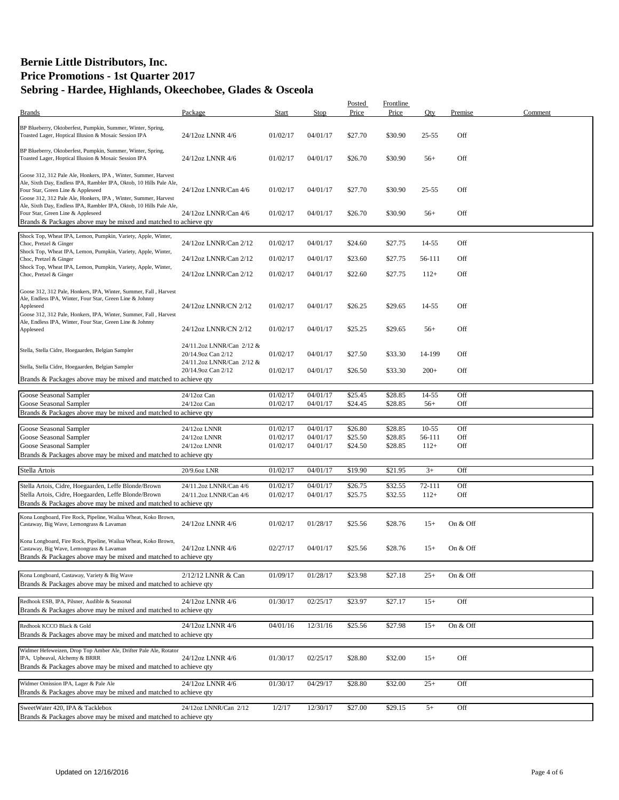|                                                                                                                                                                                                                                              |                                                 |          |          | Posted  | <b>Frontline</b> |           |          |         |
|----------------------------------------------------------------------------------------------------------------------------------------------------------------------------------------------------------------------------------------------|-------------------------------------------------|----------|----------|---------|------------------|-----------|----------|---------|
| <b>Brands</b>                                                                                                                                                                                                                                | Package                                         | Start    | Stop     | Price   | Price            | Qty       | Premise  | Comment |
| BP Blueberry, Oktoberfest, Pumpkin, Summer, Winter, Spring,<br>Toasted Lager, Hoptical Illusion & Mosaic Session IPA                                                                                                                         | 24/12oz LNNR 4/6                                | 01/02/17 | 04/01/17 | \$27.70 | \$30.90          | $25 - 55$ | Off      |         |
| BP Blueberry, Oktoberfest, Pumpkin, Summer, Winter, Spring,<br>Toasted Lager, Hoptical Illusion & Mosaic Session IPA                                                                                                                         | 24/12oz LNNR 4/6                                | 01/02/17 | 04/01/17 | \$26.70 | \$30.90          | $56+$     | Off      |         |
| Goose 312, 312 Pale Ale, Honkers, IPA, Winter, Summer, Harvest<br>Ale, Sixth Day, Endless IPA, Rambler IPA, Oktob, 10 Hills Pale Ale,<br>Four Star, Green Line & Appleseed<br>Goose 312, 312 Pale Ale, Honkers, IPA, Winter, Summer, Harvest | 24/12oz LNNR/Can 4/6                            | 01/02/17 | 04/01/17 | \$27.70 | \$30.90          | $25 - 55$ | Off      |         |
| Ale, Sixth Day, Endless IPA, Rambler IPA, Oktob, 10 Hills Pale Ale,<br>Four Star, Green Line & Appleseed<br>Brands & Packages above may be mixed and matched to achieve qty                                                                  | 24/12oz LNNR/Can 4/6                            | 01/02/17 | 04/01/17 | \$26.70 | \$30.90          | $56+$     | Off      |         |
| Shock Top, Wheat IPA, Lemon, Pumpkin, Variety, Apple, Winter,                                                                                                                                                                                |                                                 |          |          |         |                  |           |          |         |
| Choc, Pretzel & Ginger<br>Shock Top, Wheat IPA, Lemon, Pumpkin, Variety, Apple, Winter,                                                                                                                                                      | 24/12oz LNNR/Can 2/12                           | 01/02/17 | 04/01/17 | \$24.60 | \$27.75          | $14 - 55$ | Off      |         |
| Choc, Pretzel & Ginger<br>Shock Top, Wheat IPA, Lemon, Pumpkin, Variety, Apple, Winter,                                                                                                                                                      | 24/12oz LNNR/Can 2/12                           | 01/02/17 | 04/01/17 | \$23.60 | \$27.75          | 56-111    | Off      |         |
| Choc, Pretzel & Ginger                                                                                                                                                                                                                       | 24/12oz LNNR/Can 2/12                           | 01/02/17 | 04/01/17 | \$22.60 | \$27.75          | $112+$    | Off      |         |
| Goose 312, 312 Pale, Honkers, IPA, Winter, Summer, Fall, Harvest<br>Ale, Endless IPA, Winter, Four Star, Green Line & Johnny<br>Appleseed<br>Goose 312, 312 Pale, Honkers, IPA, Winter, Summer, Fall, Harvest                                | 24/12oz LNNR/CN 2/12                            | 01/02/17 | 04/01/17 | \$26.25 | \$29.65          | 14-55     | Off      |         |
| Ale, Endless IPA, Winter, Four Star, Green Line & Johnny<br>Appleseed                                                                                                                                                                        | 24/12oz LNNR/CN 2/12                            | 01/02/17 | 04/01/17 | \$25.25 | \$29.65          | $56+$     | Off      |         |
| Stella, Stella Cidre, Hoegaarden, Belgian Sampler                                                                                                                                                                                            | 24/11.2oz LNNR/Can 2/12 &<br>20/14.9oz Can 2/12 | 01/02/17 | 04/01/17 | \$27.50 | \$33.30          | 14-199    | Off      |         |
| Stella, Stella Cidre, Hoegaarden, Belgian Sampler                                                                                                                                                                                            | 24/11.2oz LNNR/Can 2/12 &<br>20/14.9oz Can 2/12 | 01/02/17 | 04/01/17 | \$26.50 | \$33.30          | $200+$    | Off      |         |
| Brands & Packages above may be mixed and matched to achieve qty                                                                                                                                                                              |                                                 |          |          |         |                  |           |          |         |
| Goose Seasonal Sampler                                                                                                                                                                                                                       | 24/12oz Can                                     | 01/02/17 | 04/01/17 | \$25.45 | \$28.85          | 14-55     | Off      |         |
| Goose Seasonal Sampler                                                                                                                                                                                                                       | 24/12oz Can                                     | 01/02/17 | 04/01/17 | \$24.45 | \$28.85          | $56+$     | Off      |         |
| Brands & Packages above may be mixed and matched to achieve qty                                                                                                                                                                              |                                                 |          |          |         |                  |           |          |         |
| Goose Seasonal Sampler                                                                                                                                                                                                                       | 24/12oz LNNR                                    | 01/02/17 | 04/01/17 | \$26.80 | \$28.85          | $10 - 55$ | Off      |         |
| Goose Seasonal Sampler                                                                                                                                                                                                                       | 24/12oz LNNR                                    | 01/02/17 | 04/01/17 | \$25.50 | \$28.85          | 56-111    | Off      |         |
| Goose Seasonal Sampler                                                                                                                                                                                                                       | 24/12oz LNNR                                    | 01/02/17 | 04/01/17 | \$24.50 | \$28.85          | $112+$    | Off      |         |
| Brands & Packages above may be mixed and matched to achieve qty                                                                                                                                                                              |                                                 |          |          |         |                  |           |          |         |
| Stella Artois                                                                                                                                                                                                                                | 20/9.6oz LNR                                    | 01/02/17 | 04/01/17 | \$19.90 | \$21.95          | $3+$      | Off      |         |
| Stella Artois, Cidre, Hoegaarden, Leffe Blonde/Brown                                                                                                                                                                                         | 24/11.2oz LNNR/Can 4/6                          | 01/02/17 | 04/01/17 | \$26.75 | \$32.55          | 72-111    | Off      |         |
| Stella Artois, Cidre, Hoegaarden, Leffe Blonde/Brown                                                                                                                                                                                         | 24/11.2oz LNNR/Can 4/6                          | 01/02/17 | 04/01/17 | \$25.75 | \$32.55          | $112+$    | Off      |         |
| Brands & Packages above may be mixed and matched to achieve qty                                                                                                                                                                              |                                                 |          |          |         |                  |           |          |         |
| Kona Longboard, Fire Rock, Pipeline, Wailua Wheat, Koko Brown,                                                                                                                                                                               |                                                 |          |          |         |                  |           |          |         |
| Castaway, Big Wave, Lemongrass & Lavaman                                                                                                                                                                                                     | 24/12oz LNNR 4/6                                | 01/02/17 | 01/28/17 | \$25.56 | \$28.76          | $15+$     | On & Off |         |
| Kona Longboard, Fire Rock, Pipeline, Wailua Wheat, Koko Brown,<br>Castaway, Big Wave, Lemongrass & Lavaman<br>Brands & Packages above may be mixed and matched to achieve qty                                                                | 24/12oz LNNR 4/6                                | 02/27/17 | 04/01/17 | \$25.56 | \$28.76          | $15+$     | On & Off |         |
|                                                                                                                                                                                                                                              |                                                 |          |          |         |                  |           |          |         |
| Kona Longboard, Castaway, Variety & Big Wave<br>Brands & Packages above may be mixed and matched to achieve qty                                                                                                                              | 2/12/12 LNNR & Can                              | 01/09/17 | 01/28/17 | \$23.98 | \$27.18          | $25+$     | On & Off |         |
|                                                                                                                                                                                                                                              |                                                 |          |          |         |                  |           |          |         |
| Redhook ESB, IPA, Pilsner, Audible & Seasonal<br>Brands & Packages above may be mixed and matched to achieve qty                                                                                                                             | 24/12oz LNNR 4/6                                | 01/30/17 | 02/25/17 | \$23.97 | \$27.17          | $15+$     | Off      |         |
| Redhook KCCO Black & Gold<br>Brands & Packages above may be mixed and matched to achieve qty                                                                                                                                                 | 24/12oz LNNR 4/6                                | 04/01/16 | 12/31/16 | \$25.56 | \$27.98          | $15+$     | On & Off |         |
|                                                                                                                                                                                                                                              |                                                 |          |          |         |                  |           |          |         |
| Widmer Hefeweizen, Drop Top Amber Ale, Drifter Pale Ale, Rotator<br>IPA, Upheaval, Alchemy & BRRR                                                                                                                                            | 24/12oz LNNR 4/6                                | 01/30/17 | 02/25/17 | \$28.80 | \$32.00          | $15+$     | Off      |         |
| Brands & Packages above may be mixed and matched to achieve qty                                                                                                                                                                              |                                                 |          |          |         |                  |           |          |         |
| Widmer Omission IPA, Lager & Pale Ale<br>Brands & Packages above may be mixed and matched to achieve qty                                                                                                                                     | 24/12oz LNNR 4/6                                | 01/30/17 | 04/29/17 | \$28.80 | \$32.00          | $25+$     | Off      |         |
| SweetWater 420, IPA & Tacklebox                                                                                                                                                                                                              | 24/12oz LNNR/Can 2/12                           | 1/2/17   | 12/30/17 | \$27.00 | \$29.15          | $5+$      | Off      |         |
| Brands & Packages above may be mixed and matched to achieve qty                                                                                                                                                                              |                                                 |          |          |         |                  |           |          |         |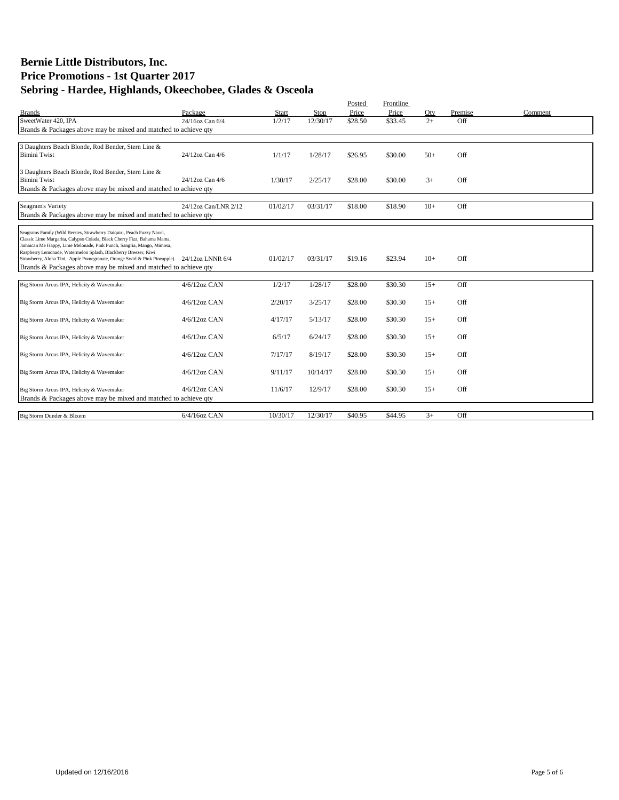|                                                                                                                                          |                      |          |          | Posted  | Frontline |         |         |         |
|------------------------------------------------------------------------------------------------------------------------------------------|----------------------|----------|----------|---------|-----------|---------|---------|---------|
| <b>Brands</b>                                                                                                                            | Package              | Start    | Stop     | Price   | Price     | Qty     | Premise | Comment |
| SweetWater 420, IPA                                                                                                                      | 24/16oz Can 6/4      | 1/2/17   | 12/30/17 | \$28.50 | \$33.45   | $2^{+}$ | Off     |         |
| Brands & Packages above may be mixed and matched to achieve qty                                                                          |                      |          |          |         |           |         |         |         |
|                                                                                                                                          |                      |          |          |         |           |         |         |         |
| 3 Daughters Beach Blonde, Rod Bender, Stern Line &                                                                                       |                      |          |          |         |           |         |         |         |
| <b>Bimini Twist</b>                                                                                                                      | 24/12oz Can 4/6      | 1/1/17   | 1/28/17  | \$26.95 | \$30.00   | $50+$   | Off     |         |
|                                                                                                                                          |                      |          |          |         |           |         |         |         |
| 3 Daughters Beach Blonde, Rod Bender, Stern Line &<br><b>Bimini Twist</b>                                                                | 24/12oz Can 4/6      | 1/30/17  | 2/25/17  | \$28.00 | \$30.00   | $3+$    | Off     |         |
| Brands & Packages above may be mixed and matched to achieve qty                                                                          |                      |          |          |         |           |         |         |         |
|                                                                                                                                          |                      |          |          |         |           |         |         |         |
| Seagram's Variety                                                                                                                        | 24/12oz Can/LNR 2/12 | 01/02/17 | 03/31/17 | \$18.00 | \$18.90   | $10+$   | Off     |         |
| Brands & Packages above may be mixed and matched to achieve qty                                                                          |                      |          |          |         |           |         |         |         |
|                                                                                                                                          |                      |          |          |         |           |         |         |         |
| Seagrams Family (Wild Berries, Strawberry Daiquiri, Peach Fuzzy Navel,                                                                   |                      |          |          |         |           |         |         |         |
| Classic Lime Margarita, Calypso Colada, Black Cherry Fizz, Bahama Mama,                                                                  |                      |          |          |         |           |         |         |         |
| Jamaican Me Happy, Lime Melonade, Pink Punch, Sangria, Mango, Mimosa,<br>Raspberry Lemonade, Watermelon Splash, Blackberry Breezer, Kiwi |                      |          |          |         |           |         |         |         |
| Strawberry, Aloha Tini, Apple Pomegranate, Orange Swirl & Pink Pineapple)                                                                | 24/12oz LNNR 6/4     | 01/02/17 | 03/31/17 | \$19.16 | \$23.94   | $10+$   | Off     |         |
| Brands & Packages above may be mixed and matched to achieve qty                                                                          |                      |          |          |         |           |         |         |         |
|                                                                                                                                          |                      |          |          |         |           |         |         |         |
| Big Storm Arcus IPA, Helicity & Wavemaker                                                                                                | $4/6/12$ oz CAN      | 1/2/17   | 1/28/17  | \$28.00 | \$30.30   | $15+$   | Off     |         |
|                                                                                                                                          |                      |          |          |         |           |         |         |         |
| Big Storm Arcus IPA, Helicity & Wavemaker                                                                                                | $4/6/12$ oz CAN      | 2/20/17  | 3/25/17  | \$28.00 | \$30.30   | $15+$   | Off     |         |
|                                                                                                                                          |                      |          |          |         |           |         |         |         |
| Big Storm Arcus IPA, Helicity & Wavemaker                                                                                                | $4/6/12$ oz CAN      | 4/17/17  | 5/13/17  | \$28.00 | \$30.30   | $15+$   | Off     |         |
| Big Storm Arcus IPA, Helicity & Wavemaker                                                                                                | $4/6/12$ oz CAN      | 6/5/17   | 6/24/17  | \$28.00 | \$30.30   | $15+$   | Off     |         |
|                                                                                                                                          |                      |          |          |         |           |         |         |         |
| Big Storm Arcus IPA, Helicity & Wavemaker                                                                                                | $4/6/12$ oz CAN      | 7/17/17  | 8/19/17  | \$28.00 | \$30.30   | $15+$   | Off     |         |
|                                                                                                                                          |                      |          |          |         |           |         |         |         |
| Big Storm Arcus IPA, Helicity & Wavemaker                                                                                                | $4/6/12$ oz CAN      | 9/11/17  | 10/14/17 | \$28.00 | \$30.30   | $15+$   | Off     |         |
|                                                                                                                                          |                      |          |          |         |           |         |         |         |
| Big Storm Arcus IPA, Helicity & Wavemaker                                                                                                | $4/6/12oz$ CAN       | 11/6/17  | 12/9/17  | \$28.00 | \$30.30   | $15+$   | Off     |         |
| Brands & Packages above may be mixed and matched to achieve qty                                                                          |                      |          |          |         |           |         |         |         |
|                                                                                                                                          |                      |          |          |         |           |         |         |         |
| Big Storm Dunder & Blixem                                                                                                                | $6/4/16$ oz CAN      | 10/30/17 | 12/30/17 | \$40.95 | \$44.95   | $3+$    | Off     |         |